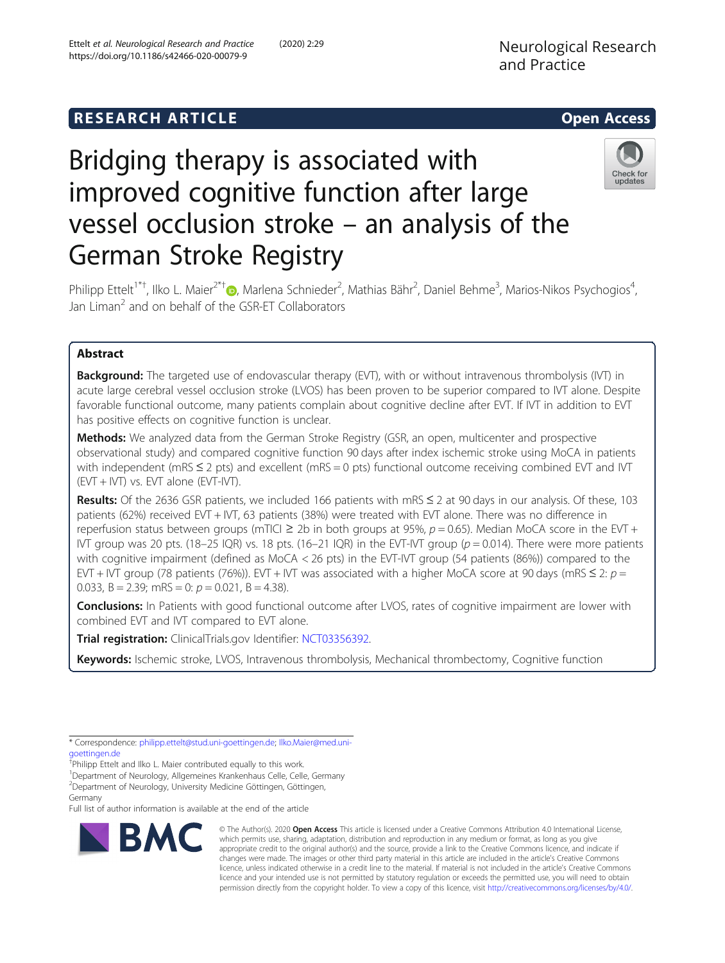# **RESEARCH ARTICLE Example 2014 The SEAR CH ACCESS**



# Bridging therapy is associated with improved cognitive function after large vessel occlusion stroke – an analysis of the German Stroke Registry



Philipp Ettelt<sup>1\*†</sup>[,](http://orcid.org/0000-0001-6988-8878) Ilko L. Maier<sup>2\*†</sup>®, Marlena Schnieder<sup>2</sup>, Mathias Bähr<sup>2</sup>, Daniel Behme<sup>3</sup>, Marios-Nikos Psychogios<sup>4</sup> , Jan Liman<sup>2</sup> and on behalf of the GSR-ET Collaborators

# Abstract

**Background:** The targeted use of endovascular therapy (EVT), with or without intravenous thrombolysis (IVT) in acute large cerebral vessel occlusion stroke (LVOS) has been proven to be superior compared to IVT alone. Despite favorable functional outcome, many patients complain about cognitive decline after EVT. If IVT in addition to EVT has positive effects on cognitive function is unclear.

Methods: We analyzed data from the German Stroke Registry (GSR, an open, multicenter and prospective observational study) and compared cognitive function 90 days after index ischemic stroke using MoCA in patients with independent (mRS ≤ 2 pts) and excellent (mRS = 0 pts) functional outcome receiving combined EVT and IVT (EVT + IVT) vs. EVT alone (EVT-IVT).

Results: Of the 2636 GSR patients, we included 166 patients with mRS  $\leq$  2 at 90 days in our analysis. Of these, 103 patients (62%) received EVT + IVT, 63 patients (38%) were treated with EVT alone. There was no difference in reperfusion status between groups (mTICI  $\geq$  2b in both groups at 95%,  $p = 0.65$ ). Median MoCA score in the EVT + IVT group was 20 pts. (18–25 IQR) vs. 18 pts. (16–21 IQR) in the EVT-IVT group ( $p = 0.014$ ). There were more patients with cognitive impairment (defined as MoCA < 26 pts) in the EVT-IVT group (54 patients (86%)) compared to the EVT + IVT group (78 patients (76%)). EVT + IVT was associated with a higher MoCA score at 90 days (mRS  $\leq$  2:  $p =$ 0.033,  $B = 2.39$ ; mRS = 0:  $p = 0.021$ ,  $B = 4.38$ ).

**Conclusions:** In Patients with good functional outcome after LVOS, rates of cognitive impairment are lower with combined EVT and IVT compared to EVT alone.

Trial registration: ClinicalTrials.gov Identifier: [NCT03356392](https://clinicaltrials.gov/ct2/show/NCT03356392).

Keywords: Ischemic stroke, LVOS, Intravenous thrombolysis, Mechanical thrombectomy, Cognitive function

† Philipp Ettelt and Ilko L. Maier contributed equally to this work.

<sup>1</sup>Department of Neurology, Allgemeines Krankenhaus Celle, Celle, Germany

<sup>2</sup>Department of Neurology, University Medicine Göttingen, Göttingen, Germany

Full list of author information is available at the end of the article



© The Author(s). 2020 Open Access This article is licensed under a Creative Commons Attribution 4.0 International License, which permits use, sharing, adaptation, distribution and reproduction in any medium or format, as long as you give appropriate credit to the original author(s) and the source, provide a link to the Creative Commons licence, and indicate if changes were made. The images or other third party material in this article are included in the article's Creative Commons licence, unless indicated otherwise in a credit line to the material. If material is not included in the article's Creative Commons licence and your intended use is not permitted by statutory regulation or exceeds the permitted use, you will need to obtain permission directly from the copyright holder. To view a copy of this licence, visit [http://creativecommons.org/licenses/by/4.0/.](http://creativecommons.org/licenses/by/4.0/)

<sup>\*</sup> Correspondence: [philipp.ettelt@stud.uni-goettingen.de;](mailto:philipp.ettelt@stud.uni-goettingen.de) [Ilko.Maier@med.uni](mailto:Ilko.Maier@med.uni-goettingen.de)[goettingen.de](mailto:Ilko.Maier@med.uni-goettingen.de)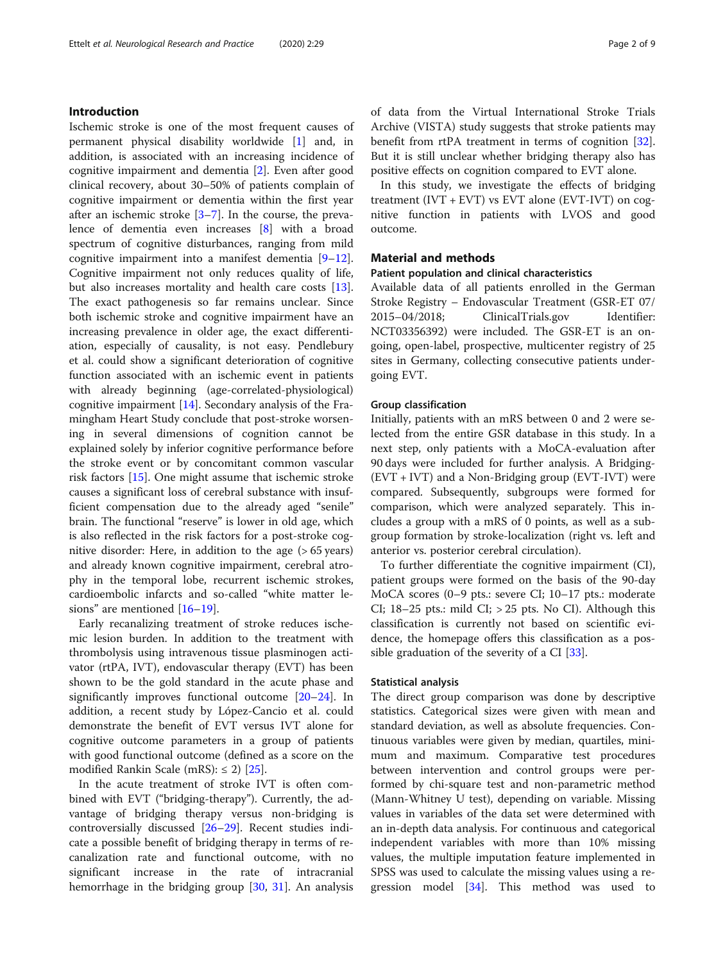# Introduction

Ischemic stroke is one of the most frequent causes of permanent physical disability worldwide [\[1](#page-6-0)] and, in addition, is associated with an increasing incidence of cognitive impairment and dementia [\[2](#page-6-0)]. Even after good clinical recovery, about 30–50% of patients complain of cognitive impairment or dementia within the first year after an ischemic stroke [[3](#page-6-0)–[7\]](#page-7-0). In the course, the prevalence of dementia even increases [\[8](#page-7-0)] with a broad spectrum of cognitive disturbances, ranging from mild cognitive impairment into a manifest dementia  $[9-12]$  $[9-12]$  $[9-12]$  $[9-12]$  $[9-12]$ . Cognitive impairment not only reduces quality of life, but also increases mortality and health care costs [\[13](#page-7-0)]. The exact pathogenesis so far remains unclear. Since both ischemic stroke and cognitive impairment have an increasing prevalence in older age, the exact differentiation, especially of causality, is not easy. Pendlebury et al. could show a significant deterioration of cognitive function associated with an ischemic event in patients with already beginning (age-correlated-physiological) cognitive impairment [\[14\]](#page-7-0). Secondary analysis of the Framingham Heart Study conclude that post-stroke worsening in several dimensions of cognition cannot be explained solely by inferior cognitive performance before the stroke event or by concomitant common vascular risk factors [[15](#page-7-0)]. One might assume that ischemic stroke causes a significant loss of cerebral substance with insufficient compensation due to the already aged "senile" brain. The functional "reserve" is lower in old age, which is also reflected in the risk factors for a post-stroke cognitive disorder: Here, in addition to the age (> 65 years) and already known cognitive impairment, cerebral atrophy in the temporal lobe, recurrent ischemic strokes, cardioembolic infarcts and so-called "white matter lesions" are mentioned [\[16](#page-7-0)–[19\]](#page-7-0).

Early recanalizing treatment of stroke reduces ischemic lesion burden. In addition to the treatment with thrombolysis using intravenous tissue plasminogen activator (rtPA, IVT), endovascular therapy (EVT) has been shown to be the gold standard in the acute phase and significantly improves functional outcome [\[20](#page-7-0)–[24\]](#page-7-0). In addition, a recent study by López-Cancio et al. could demonstrate the benefit of EVT versus IVT alone for cognitive outcome parameters in a group of patients with good functional outcome (defined as a score on the modified Rankin Scale (mRS):  $\leq$  2) [\[25](#page-7-0)].

In the acute treatment of stroke IVT is often combined with EVT ("bridging-therapy"). Currently, the advantage of bridging therapy versus non-bridging is controversially discussed [[26](#page-7-0)–[29](#page-7-0)]. Recent studies indicate a possible benefit of bridging therapy in terms of recanalization rate and functional outcome, with no significant increase in the rate of intracranial hemorrhage in the bridging group [[30,](#page-7-0) [31\]](#page-7-0). An analysis of data from the Virtual International Stroke Trials Archive (VISTA) study suggests that stroke patients may benefit from rtPA treatment in terms of cognition [\[32](#page-7-0)]. But it is still unclear whether bridging therapy also has positive effects on cognition compared to EVT alone.

In this study, we investigate the effects of bridging treatment  $(IVT + EVT)$  vs EVT alone  $(EVT-IVT)$  on cognitive function in patients with LVOS and good outcome.

# Material and methods

# Patient population and clinical characteristics

Available data of all patients enrolled in the German Stroke Registry – Endovascular Treatment (GSR-ET 07/ 2015–04/2018; ClinicalTrials.gov Identifier: NCT03356392) were included. The GSR-ET is an ongoing, open-label, prospective, multicenter registry of 25 sites in Germany, collecting consecutive patients undergoing EVT.

## Group classification

Initially, patients with an mRS between 0 and 2 were selected from the entire GSR database in this study. In a next step, only patients with a MoCA-evaluation after 90 days were included for further analysis. A Bridging- (EVT + IVT) and a Non-Bridging group (EVT-IVT) were compared. Subsequently, subgroups were formed for comparison, which were analyzed separately. This includes a group with a mRS of 0 points, as well as a subgroup formation by stroke-localization (right vs. left and anterior vs. posterior cerebral circulation).

To further differentiate the cognitive impairment (CI), patient groups were formed on the basis of the 90-day MoCA scores (0–9 pts.: severe CI; 10–17 pts.: moderate CI;  $18-25$  pts.: mild CI;  $> 25$  pts. No CI). Although this classification is currently not based on scientific evidence, the homepage offers this classification as a possible graduation of the severity of a CI [[33\]](#page-7-0).

#### Statistical analysis

The direct group comparison was done by descriptive statistics. Categorical sizes were given with mean and standard deviation, as well as absolute frequencies. Continuous variables were given by median, quartiles, minimum and maximum. Comparative test procedures between intervention and control groups were performed by chi-square test and non-parametric method (Mann-Whitney U test), depending on variable. Missing values in variables of the data set were determined with an in-depth data analysis. For continuous and categorical independent variables with more than 10% missing values, the multiple imputation feature implemented in SPSS was used to calculate the missing values using a regression model [\[34](#page-7-0)]. This method was used to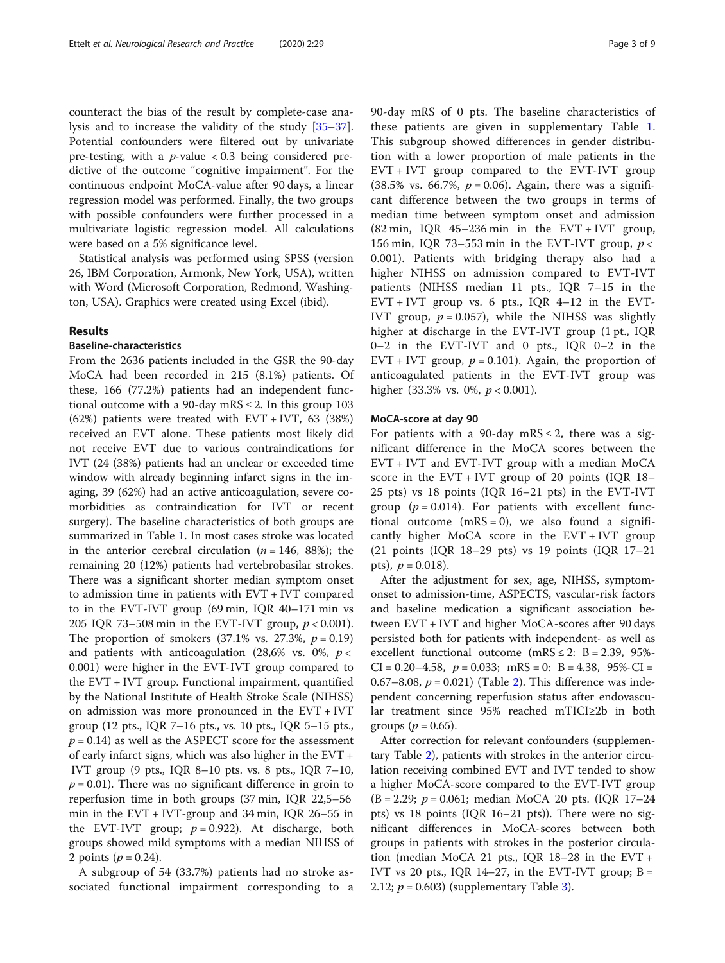counteract the bias of the result by complete-case analysis and to increase the validity of the study [[35](#page-7-0)–[37](#page-7-0)]. Potential confounders were filtered out by univariate pre-testing, with a *p*-value  $< 0.3$  being considered predictive of the outcome "cognitive impairment". For the continuous endpoint MoCA-value after 90 days, a linear regression model was performed. Finally, the two groups with possible confounders were further processed in a multivariate logistic regression model. All calculations were based on a 5% significance level.

Statistical analysis was performed using SPSS (version 26, IBM Corporation, Armonk, New York, USA), written with Word (Microsoft Corporation, Redmond, Washington, USA). Graphics were created using Excel (ibid).

# Results

# Baseline-characteristics

From the 2636 patients included in the GSR the 90-day MoCA had been recorded in 215 (8.1%) patients. Of these, 166 (77.2%) patients had an independent functional outcome with a 90-day mRS  $\leq$  2. In this group 103 (62%) patients were treated with EVT + IVT, 63 (38%) received an EVT alone. These patients most likely did not receive EVT due to various contraindications for IVT (24 (38%) patients had an unclear or exceeded time window with already beginning infarct signs in the imaging, 39 (62%) had an active anticoagulation, severe comorbidities as contraindication for IVT or recent surgery). The baseline characteristics of both groups are summarized in Table [1.](#page-3-0) In most cases stroke was located in the anterior cerebral circulation ( $n = 146$ , 88%); the remaining 20 (12%) patients had vertebrobasilar strokes. There was a significant shorter median symptom onset to admission time in patients with EVT + IVT compared to in the EVT-IVT group (69 min, IQR 40–171 min vs 205 IQR 73-508 min in the EVT-IVT group,  $p < 0.001$ ). The proportion of smokers  $(37.1\% \text{ vs. } 27.3\%, p = 0.19)$ and patients with anticoagulation (28,6% vs. 0%,  $p <$ 0.001) were higher in the EVT-IVT group compared to the EVT + IVT group. Functional impairment, quantified by the National Institute of Health Stroke Scale (NIHSS) on admission was more pronounced in the EVT + IVT group (12 pts., IQR 7–16 pts., vs. 10 pts., IQR 5–15 pts.,  $p = 0.14$ ) as well as the ASPECT score for the assessment of early infarct signs, which was also higher in the EVT + IVT group (9 pts., IQR 8–10 pts. vs. 8 pts., IQR 7–10,  $p = 0.01$ ). There was no significant difference in groin to reperfusion time in both groups (37 min, IQR 22,5–56 min in the EVT + IVT-group and 34 min, IQR 26–55 in the EVT-IVT group;  $p = 0.922$ ). At discharge, both groups showed mild symptoms with a median NIHSS of 2 points ( $p = 0.24$ ).

A subgroup of 54 (33.7%) patients had no stroke associated functional impairment corresponding to a 90-day mRS of 0 pts. The baseline characteristics of these patients are given in supplementary Table [1](#page-6-0). This subgroup showed differences in gender distribution with a lower proportion of male patients in the EVT + IVT group compared to the EVT-IVT group (38.5% vs. 66.7%,  $p = 0.06$ ). Again, there was a significant difference between the two groups in terms of median time between symptom onset and admission  $(82 \text{ min}, \text{ IQR } 45-236 \text{ min} \text{ in the } EVT + IVT \text{ group},$ 156 min, IQR 73-553 min in the EVT-IVT group,  $p <$ 0.001). Patients with bridging therapy also had a higher NIHSS on admission compared to EVT-IVT patients (NIHSS median 11 pts., IQR 7–15 in the EVT + IVT group vs. 6 pts., IQR 4-12 in the EVT-IVT group,  $p = 0.057$ , while the NIHSS was slightly higher at discharge in the EVT-IVT group (1 pt., IQR 0–2 in the EVT-IVT and 0 pts., IQR 0–2 in the EVT + IVT group,  $p = 0.101$ ). Again, the proportion of anticoagulated patients in the EVT-IVT group was higher (33.3% vs. 0%,  $p < 0.001$ ).

## MoCA-score at day 90

For patients with a 90-day mRS  $\leq$  2, there was a significant difference in the MoCA scores between the EVT + IVT and EVT-IVT group with a median MoCA score in the EVT + IVT group of 20 points (IQR  $18-$ 25 pts) vs 18 points (IQR 16–21 pts) in the EVT-IVT group ( $p = 0.014$ ). For patients with excellent functional outcome  $(mRS = 0)$ , we also found a significantly higher MoCA score in the  $EVT + IVT$  group (21 points (IQR 18–29 pts) vs 19 points (IQR 17–21 pts),  $p = 0.018$ ).

After the adjustment for sex, age, NIHSS, symptomonset to admission-time, ASPECTS, vascular-risk factors and baseline medication a significant association between EVT + IVT and higher MoCA-scores after 90 days persisted both for patients with independent- as well as excellent functional outcome (mRS  $\leq$  2: B = 2.39, 95%- $CI = 0.20 - 4.58$ ,  $p = 0.033$ ; mRS = 0: B = 4.38, 95%-CI = 0.67–8.08,  $p = 0.021$  $p = 0.021$  $p = 0.021$ ) (Table 2). This difference was independent concerning reperfusion status after endovascular treatment since 95% reached mTICI≥2b in both groups ( $p = 0.65$ ).

After correction for relevant confounders (supplementary Table [2\)](#page-6-0), patients with strokes in the anterior circulation receiving combined EVT and IVT tended to show a higher MoCA-score compared to the EVT-IVT group  $(B = 2.29; p = 0.061; \text{ median MOCA } 20 \text{ pts. (IQR } 17-24)$ pts) vs 18 points (IQR 16–21 pts)). There were no significant differences in MoCA-scores between both groups in patients with strokes in the posterior circulation (median MoCA 21 pts., IQR 18–28 in the EVT + IVT vs 20 pts., IQR 14–27, in the EVT-IVT group;  $B =$ 2.12;  $p = 0.603$  $p = 0.603$ ) (supplementary Table 3).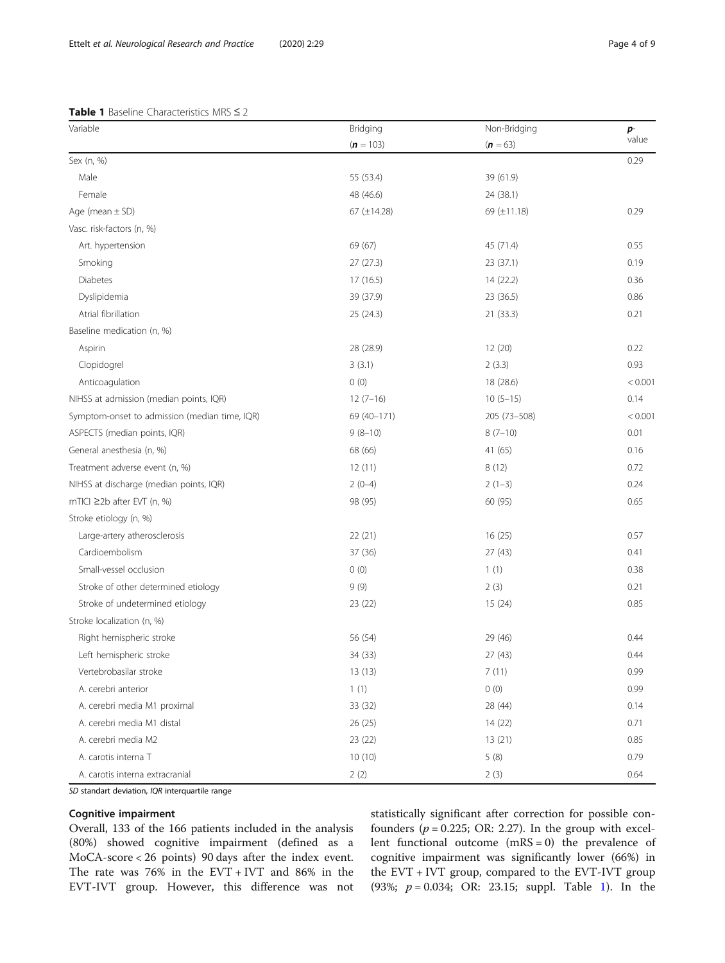# <span id="page-3-0"></span>Table 1 Baseline Characteristics MRS  $\leq$  2

| Variable                                      | Bridging    | Non-Bridging     | p-      |  |
|-----------------------------------------------|-------------|------------------|---------|--|
|                                               | $(n = 103)$ | $(n = 63)$       | value   |  |
| Sex (n, %)                                    |             |                  | 0.29    |  |
| Male                                          | 55 (53.4)   | 39 (61.9)        |         |  |
| Female                                        | 48 (46.6)   | 24 (38.1)        |         |  |
| Age (mean $\pm$ SD)                           | 67 (±14.28) | 69 $(\pm 11.18)$ | 0.29    |  |
| Vasc. risk-factors (n, %)                     |             |                  |         |  |
| Art. hypertension                             | 69 (67)     | 45 (71.4)        | 0.55    |  |
| Smoking                                       | 27(27.3)    | 23 (37.1)        | 0.19    |  |
| <b>Diabetes</b>                               | 17 (16.5)   | 14 (22.2)        | 0.36    |  |
| Dyslipidemia                                  | 39 (37.9)   | 23 (36.5)        | 0.86    |  |
| Atrial fibrillation                           | 25 (24.3)   | 21 (33.3)        | 0.21    |  |
| Baseline medication (n, %)                    |             |                  |         |  |
| Aspirin                                       | 28 (28.9)   | 12 (20)          | 0.22    |  |
| Clopidogrel                                   | 3(3.1)      | 2(3.3)           | 0.93    |  |
| Anticoagulation                               | 0(0)        | 18 (28.6)        | < 0.001 |  |
| NIHSS at admission (median points, IQR)       | $12(7-16)$  | $10(5-15)$       | 0.14    |  |
| Symptom-onset to admission (median time, IQR) | 69 (40-171) | 205 (73-508)     | < 0.001 |  |
| ASPECTS (median points, IQR)                  | $9(8-10)$   | $8(7-10)$        | 0.01    |  |
| General anesthesia (n, %)                     | 68 (66)     | 41 (65)          | 0.16    |  |
| Treatment adverse event (n, %)                | 12(11)      | 8(12)            | 0.72    |  |
| NIHSS at discharge (median points, IQR)       | $2(0-4)$    | $2(1-3)$         | 0.24    |  |
| mTICI ≥2b after EVT (n, %)                    | 98 (95)     | 60 (95)          | 0.65    |  |
| Stroke etiology (n, %)                        |             |                  |         |  |
| Large-artery atherosclerosis                  | 22(21)      | 16(25)           | 0.57    |  |
| Cardioembolism                                | 37 (36)     | 27(43)           | 0.41    |  |
| Small-vessel occlusion                        | 0(0)        | 1(1)             | 0.38    |  |
| Stroke of other determined etiology           | 9(9)        | 2(3)             | 0.21    |  |
| Stroke of undetermined etiology               | 23 (22)     | 15(24)           | 0.85    |  |
| Stroke localization (n, %)                    |             |                  |         |  |
| Right hemispheric stroke                      | 56 (54)     | 29 (46)          | 0.44    |  |
| Left hemispheric stroke                       | 34 (33)     | 27(43)           | 0.44    |  |
| Vertebrobasilar stroke                        | 13 (13)     | 7(11)            | 0.99    |  |
| A. cerebri anterior                           | 1(1)        | 0(0)             | 0.99    |  |
| A. cerebri media M1 proximal                  | 33 (32)     | 28 (44)          | 0.14    |  |
| A. cerebri media M1 distal                    | 26 (25)     | 14 (22)          | 0.71    |  |
| A. cerebri media M2                           | 23 (22)     | 13(21)           | 0.85    |  |
| A. carotis interna T                          | 10(10)      | 5(8)             | 0.79    |  |
| A. carotis interna extracranial               | 2(2)        | 2(3)             | 0.64    |  |

SD standart deviation, IQR interquartile range

# Cognitive impairment

Overall, 133 of the 166 patients included in the analysis (80%) showed cognitive impairment (defined as a MoCA-score < 26 points) 90 days after the index event. The rate was 76% in the EVT + IVT and 86% in the EVT-IVT group. However, this difference was not statistically significant after correction for possible confounders ( $p = 0.225$ ; OR: 2.27). In the group with excellent functional outcome  $(mRS = 0)$  the prevalence of cognitive impairment was significantly lower (66%) in the EVT + IVT group, compared to the EVT-IVT group (93%; p = 0.034; OR: 23.15; suppl. Table [1](#page-6-0)). In the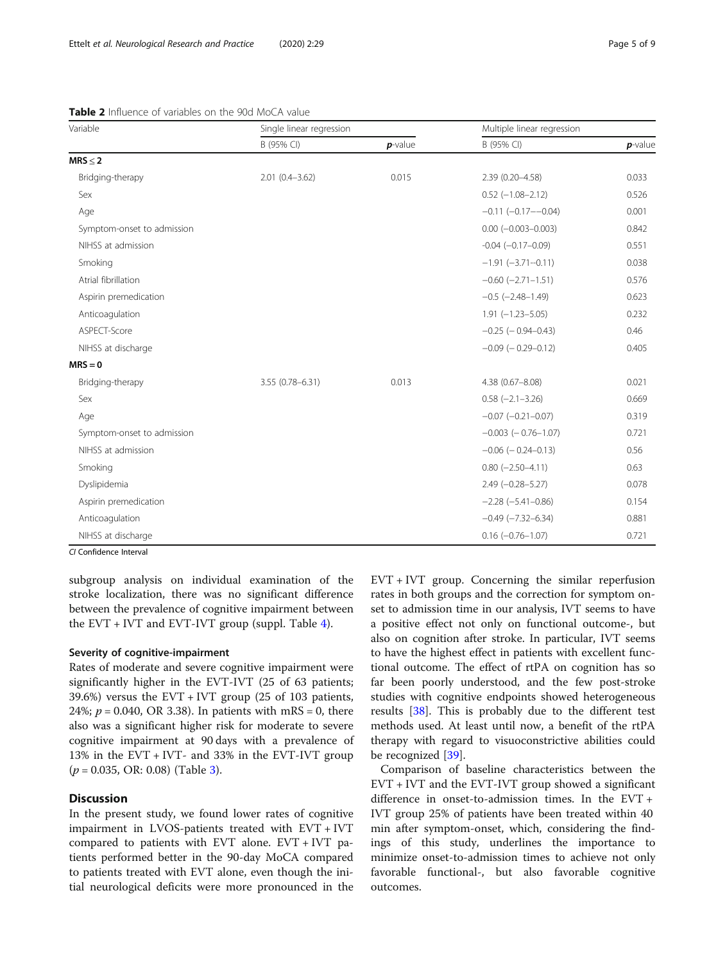<span id="page-4-0"></span>

| <b>Table 2</b> Influence of variables on the 90d MoCA value |  |  |  |  |
|-------------------------------------------------------------|--|--|--|--|
|                                                             |  |  |  |  |

| Variable                   | Single linear regression |            | Multiple linear regression |            |  |
|----------------------------|--------------------------|------------|----------------------------|------------|--|
|                            | B (95% CI)               | $p$ -value | B (95% CI)                 | $p$ -value |  |
| $MRS \leq 2$               |                          |            |                            |            |  |
| Bridging-therapy           | $2.01(0.4 - 3.62)$       | 0.015      | 2.39 (0.20-4.58)           | 0.033      |  |
| Sex                        |                          |            | $0.52$ (-1.08-2.12)        | 0.526      |  |
| Age                        |                          |            | $-0.11 (-0.17 - -0.04)$    | 0.001      |  |
| Symptom-onset to admission |                          |            | $0.00 (-0.003 - 0.003)$    | 0.842      |  |
| NIHSS at admission         |                          |            | $-0.04$ $(-0.17 - 0.09)$   | 0.551      |  |
| Smoking                    |                          |            | $-1.91$ $(-3.71 - 0.11)$   | 0.038      |  |
| Atrial fibrillation        |                          |            | $-0.60$ $(-2.71-1.51)$     | 0.576      |  |
| Aspirin premedication      |                          |            | $-0.5$ $(-2.48-1.49)$      | 0.623      |  |
| Anticoagulation            |                          |            | $1.91 (-1.23 - 5.05)$      | 0.232      |  |
| ASPECT-Score               |                          |            | $-0.25$ ( $-0.94-0.43$ )   | 0.46       |  |
| NIHSS at discharge         |                          |            | $-0.09$ ( $-0.29-0.12$ )   | 0.405      |  |
| $MRS = 0$                  |                          |            |                            |            |  |
| Bridging-therapy           | 3.55 (0.78-6.31)         | 0.013      | 4.38 (0.67-8.08)           | 0.021      |  |
| Sex                        |                          |            | $0.58$ $(-2.1 - 3.26)$     | 0.669      |  |
| Age                        |                          |            | $-0.07$ $(-0.21 - 0.07)$   | 0.319      |  |
| Symptom-onset to admission |                          |            | $-0.003$ ( $-0.76-1.07$ )  | 0.721      |  |
| NIHSS at admission         |                          |            | $-0.06$ ( $-0.24-0.13$ )   | 0.56       |  |
| Smoking                    |                          |            | $0.80$ (-2.50-4.11)        | 0.63       |  |
| Dyslipidemia               |                          |            | $2.49$ (-0.28-5.27)        | 0.078      |  |
| Aspirin premedication      |                          |            | $-2.28 (-5.41 - 0.86)$     | 0.154      |  |
| Anticoagulation            |                          |            | $-0.49$ $(-7.32 - 6.34)$   | 0.881      |  |
| NIHSS at discharge         |                          |            | $0.16 (-0.76 - 1.07)$      | 0.721      |  |

subgroup analysis on individual examination of the stroke localization, there was no significant difference between the prevalence of cognitive impairment between the  $EVT + IVT$  and  $EVT-IVT$  group (suppl. Table [4](#page-6-0)).

#### Severity of cognitive-impairment

Rates of moderate and severe cognitive impairment were significantly higher in the EVT-IVT (25 of 63 patients; 39.6%) versus the EVT + IVT group (25 of 103 patients, 24%;  $p = 0.040$ , OR 3.38). In patients with mRS = 0, there also was a significant higher risk for moderate to severe cognitive impairment at 90 days with a prevalence of 13% in the EVT + IVT- and 33% in the EVT-IVT group  $(p = 0.035, \text{ OR: } 0.08) \text{ (Table 3).}$  $(p = 0.035, \text{ OR: } 0.08) \text{ (Table 3).}$  $(p = 0.035, \text{ OR: } 0.08) \text{ (Table 3).}$ 

# **Discussion**

In the present study, we found lower rates of cognitive impairment in LVOS-patients treated with EVT + IVT compared to patients with EVT alone.  $EVT + IVT$  patients performed better in the 90-day MoCA compared to patients treated with EVT alone, even though the initial neurological deficits were more pronounced in the  $EVT + IVT$  group. Concerning the similar reperfusion rates in both groups and the correction for symptom onset to admission time in our analysis, IVT seems to have a positive effect not only on functional outcome-, but also on cognition after stroke. In particular, IVT seems to have the highest effect in patients with excellent functional outcome. The effect of rtPA on cognition has so far been poorly understood, and the few post-stroke studies with cognitive endpoints showed heterogeneous results [\[38](#page-7-0)]. This is probably due to the different test methods used. At least until now, a benefit of the rtPA therapy with regard to visuoconstrictive abilities could be recognized [\[39](#page-7-0)].

Comparison of baseline characteristics between the EVT + IVT and the EVT-IVT group showed a significant difference in onset-to-admission times. In the EVT + IVT group 25% of patients have been treated within 40 min after symptom-onset, which, considering the findings of this study, underlines the importance to minimize onset-to-admission times to achieve not only favorable functional-, but also favorable cognitive outcomes.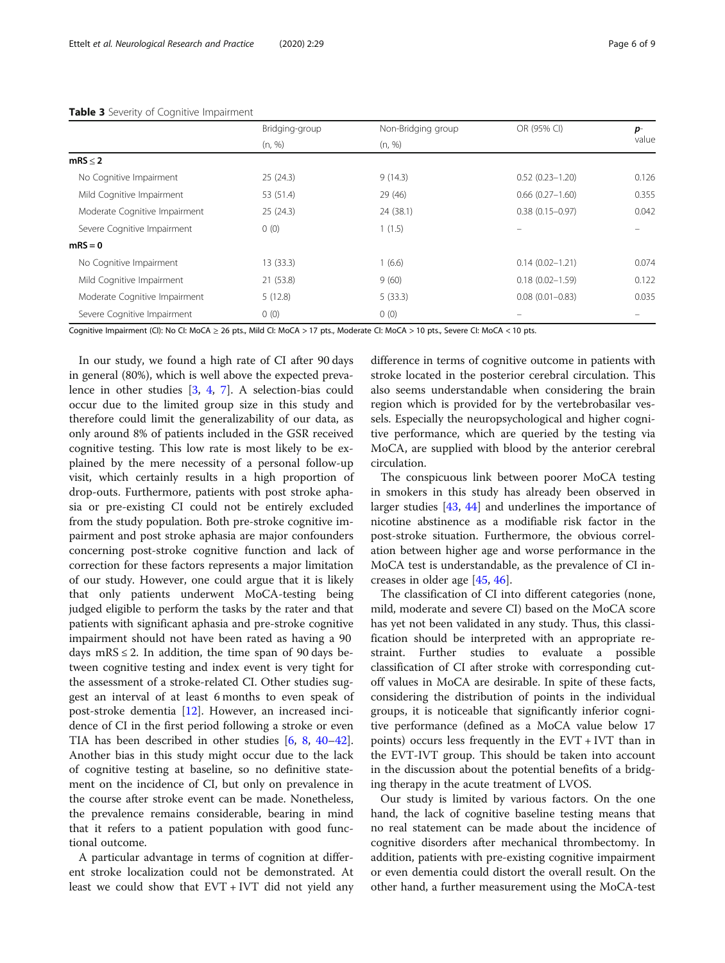|                               | Bridging-group | Non-Bridging group | OR (95% CI)         | p-<br>value |
|-------------------------------|----------------|--------------------|---------------------|-------------|
|                               | (n, %)         | (n, %)             |                     |             |
| $mRS \leq 2$                  |                |                    |                     |             |
| No Cognitive Impairment       | 25(24.3)       | 9(14.3)            | $0.52(0.23 - 1.20)$ | 0.126       |
| Mild Cognitive Impairment     | 53 (51.4)      | 29(46)             | $0.66(0.27-1.60)$   | 0.355       |
| Moderate Cognitive Impairment | 25(24.3)       | 24 (38.1)          | $0.38(0.15 - 0.97)$ | 0.042       |
| Severe Cognitive Impairment   | 0(0)           | 1(1.5)             |                     |             |
| $mRS = 0$                     |                |                    |                     |             |
| No Cognitive Impairment       | 13 (33.3)      | 1(6.6)             | $0.14(0.02 - 1.21)$ | 0.074       |
| Mild Cognitive Impairment     | 21 (53.8)      | 9(60)              | $0.18(0.02 - 1.59)$ | 0.122       |
| Moderate Cognitive Impairment | 5(12.8)        | 5(33.3)            | $0.08(0.01 - 0.83)$ | 0.035       |
| Severe Cognitive Impairment   | 0(0)           | 0(0)               |                     |             |

#### <span id="page-5-0"></span>Table 3 Severity of Cognitive Impairment

Cognitive Impairment (CI): No CI: MoCA ≥ 26 pts., Mild CI: MoCA > 17 pts., Moderate CI: MoCA > 10 pts., Severe CI: MoCA < 10 pts.

In our study, we found a high rate of CI after 90 days in general (80%), which is well above the expected prevalence in other studies [[3,](#page-6-0) [4,](#page-6-0) [7](#page-7-0)]. A selection-bias could occur due to the limited group size in this study and therefore could limit the generalizability of our data, as only around 8% of patients included in the GSR received cognitive testing. This low rate is most likely to be explained by the mere necessity of a personal follow-up visit, which certainly results in a high proportion of drop-outs. Furthermore, patients with post stroke aphasia or pre-existing CI could not be entirely excluded from the study population. Both pre-stroke cognitive impairment and post stroke aphasia are major confounders concerning post-stroke cognitive function and lack of correction for these factors represents a major limitation of our study. However, one could argue that it is likely that only patients underwent MoCA-testing being judged eligible to perform the tasks by the rater and that patients with significant aphasia and pre-stroke cognitive impairment should not have been rated as having a 90 days mRS  $\leq$  2. In addition, the time span of 90 days between cognitive testing and index event is very tight for the assessment of a stroke-related CI. Other studies suggest an interval of at least 6 months to even speak of post-stroke dementia [\[12](#page-7-0)]. However, an increased incidence of CI in the first period following a stroke or even TIA has been described in other studies [[6,](#page-6-0) [8](#page-7-0), [40](#page-7-0)–[42](#page-7-0)]. Another bias in this study might occur due to the lack of cognitive testing at baseline, so no definitive statement on the incidence of CI, but only on prevalence in the course after stroke event can be made. Nonetheless, the prevalence remains considerable, bearing in mind that it refers to a patient population with good functional outcome.

A particular advantage in terms of cognition at different stroke localization could not be demonstrated. At least we could show that  $EVT + IVT$  did not yield any difference in terms of cognitive outcome in patients with stroke located in the posterior cerebral circulation. This also seems understandable when considering the brain region which is provided for by the vertebrobasilar vessels. Especially the neuropsychological and higher cognitive performance, which are queried by the testing via MoCA, are supplied with blood by the anterior cerebral circulation.

The conspicuous link between poorer MoCA testing in smokers in this study has already been observed in larger studies [[43,](#page-7-0) [44](#page-7-0)] and underlines the importance of nicotine abstinence as a modifiable risk factor in the post-stroke situation. Furthermore, the obvious correlation between higher age and worse performance in the MoCA test is understandable, as the prevalence of CI increases in older age [[45,](#page-7-0) [46\]](#page-7-0).

The classification of CI into different categories (none, mild, moderate and severe CI) based on the MoCA score has yet not been validated in any study. Thus, this classification should be interpreted with an appropriate restraint. Further studies to evaluate a possible classification of CI after stroke with corresponding cutoff values in MoCA are desirable. In spite of these facts, considering the distribution of points in the individual groups, it is noticeable that significantly inferior cognitive performance (defined as a MoCA value below 17 points) occurs less frequently in the EVT + IVT than in the EVT-IVT group. This should be taken into account in the discussion about the potential benefits of a bridging therapy in the acute treatment of LVOS.

Our study is limited by various factors. On the one hand, the lack of cognitive baseline testing means that no real statement can be made about the incidence of cognitive disorders after mechanical thrombectomy. In addition, patients with pre-existing cognitive impairment or even dementia could distort the overall result. On the other hand, a further measurement using the MoCA-test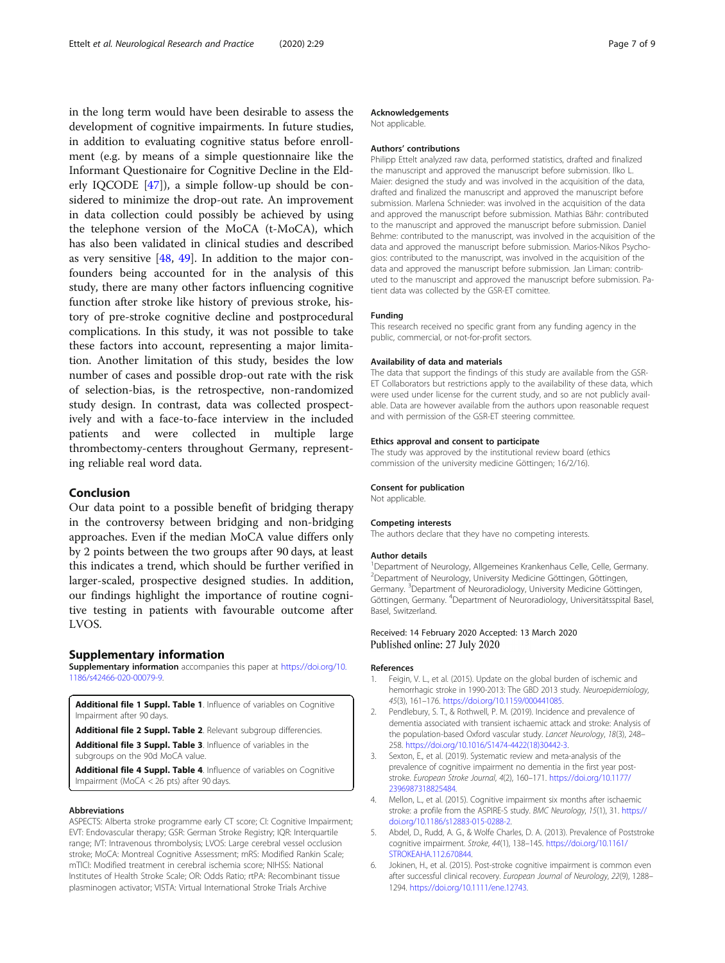<span id="page-6-0"></span>in the long term would have been desirable to assess the development of cognitive impairments. In future studies, in addition to evaluating cognitive status before enrollment (e.g. by means of a simple questionnaire like the Informant Questionaire for Cognitive Decline in the Elderly IQCODE [\[47](#page-7-0)]), a simple follow-up should be considered to minimize the drop-out rate. An improvement in data collection could possibly be achieved by using the telephone version of the MoCA (t-MoCA), which has also been validated in clinical studies and described as very sensitive  $[48, 49]$  $[48, 49]$  $[48, 49]$  $[48, 49]$ . In addition to the major confounders being accounted for in the analysis of this study, there are many other factors influencing cognitive function after stroke like history of previous stroke, history of pre-stroke cognitive decline and postprocedural complications. In this study, it was not possible to take these factors into account, representing a major limitation. Another limitation of this study, besides the low number of cases and possible drop-out rate with the risk of selection-bias, is the retrospective, non-randomized study design. In contrast, data was collected prospectively and with a face-to-face interview in the included patients and were collected in multiple large thrombectomy-centers throughout Germany, representing reliable real word data.

# Conclusion

Our data point to a possible benefit of bridging therapy in the controversy between bridging and non-bridging approaches. Even if the median MoCA value differs only by 2 points between the two groups after 90 days, at least this indicates a trend, which should be further verified in larger-scaled, prospective designed studies. In addition, our findings highlight the importance of routine cognitive testing in patients with favourable outcome after LVOS.

#### Supplementary information

Supplementary information accompanies this paper at [https://doi.org/10.](https://doi.org/10.1186/s42466-020-00079-9) [1186/s42466-020-00079-9](https://doi.org/10.1186/s42466-020-00079-9).

Additional file 1 Suppl. Table 1. Influence of variables on Cognitive Impairment after 90 days.

Additional file 2 Suppl. Table 2. Relevant subgroup differencies.

Additional file 3 Suppl. Table 3. Influence of variables in the

subgroups on the 90d MoCA value.

Additional file 4 Suppl. Table 4. Influence of variables on Cognitive Impairment (MoCA < 26 pts) after 90 days.

#### Abbreviations

ASPECTS: Alberta stroke programme early CT score; CI: Cognitive Impairment; EVT: Endovascular therapy; GSR: German Stroke Registry; IQR: Interquartile range; IVT: Intravenous thrombolysis; LVOS: Large cerebral vessel occlusion stroke; MoCA: Montreal Cognitive Assessment; mRS: Modified Rankin Scale; mTICI: Modified treatment in cerebral ischemia score; NIHSS: National Institutes of Health Stroke Scale; OR: Odds Ratio; rtPA: Recombinant tissue plasminogen activator; VISTA: Virtual International Stroke Trials Archive

#### Acknowledgements

Not applicable.

#### Authors' contributions

Philipp Ettelt analyzed raw data, performed statistics, drafted and finalized the manuscript and approved the manuscript before submission. Ilko L. Maier: designed the study and was involved in the acquisition of the data, drafted and finalized the manuscript and approved the manuscript before submission. Marlena Schnieder: was involved in the acquisition of the data and approved the manuscript before submission. Mathias Bähr: contributed to the manuscript and approved the manuscript before submission. Daniel Behme: contributed to the manuscript, was involved in the acquisition of the data and approved the manuscript before submission. Marios-Nikos Psychogios: contributed to the manuscript, was involved in the acquisition of the data and approved the manuscript before submission. Jan Liman: contributed to the manuscript and approved the manuscript before submission. Patient data was collected by the GSR-ET comittee.

#### Funding

This research received no specific grant from any funding agency in the public, commercial, or not-for-profit sectors.

#### Availability of data and materials

The data that support the findings of this study are available from the GSR-ET Collaborators but restrictions apply to the availability of these data, which were used under license for the current study, and so are not publicly available. Data are however available from the authors upon reasonable request and with permission of the GSR-ET steering committee.

#### Ethics approval and consent to participate

The study was approved by the institutional review board (ethics commission of the university medicine Göttingen; 16/2/16).

#### Consent for publication

Not applicable.

#### Competing interests

The authors declare that they have no competing interests.

#### Author details

<sup>1</sup>Department of Neurology, Allgemeines Krankenhaus Celle, Celle, Germany. <sup>2</sup>Department of Neurology, University Medicine Göttingen, Göttingen, Germany. <sup>3</sup>Department of Neuroradiology, University Medicine Göttingen, Göttingen, Germany. <sup>4</sup> Department of Neuroradiology, Universitätsspital Basel, Basel, Switzerland.

# Received: 14 February 2020 Accepted: 13 March 2020 Published online: 27 July 2020

#### References

- 1. Feigin, V. L., et al. (2015). Update on the global burden of ischemic and hemorrhagic stroke in 1990-2013: The GBD 2013 study. Neuroepidemiology, 45(3), 161–176. [https://doi.org/10.1159/000441085.](https://doi.org/10.1159/000441085)
- 2. Pendlebury, S. T., & Rothwell, P. M. (2019). Incidence and prevalence of dementia associated with transient ischaemic attack and stroke: Analysis of the population-based Oxford vascular study. Lancet Neurology, 18(3), 248– 258. [https://doi.org/10.1016/S1474-4422\(18\)30442-3](https://doi.org/10.1016/S1474-4422(18)30442-3).
- 3. Sexton, E., et al. (2019). Systematic review and meta-analysis of the prevalence of cognitive impairment no dementia in the first year poststroke. European Stroke Journal, 4(2), 160–171. [https://doi.org/10.1177/](https://doi.org/10.1177/2396987318825484) [2396987318825484](https://doi.org/10.1177/2396987318825484).
- 4. Mellon, L., et al. (2015). Cognitive impairment six months after ischaemic stroke: a profile from the ASPIRE-S study. BMC Neurology, 15(1), 31. [https://](https://doi.org/10.1186/s12883-015-0288-2) [doi.org/10.1186/s12883-015-0288-2.](https://doi.org/10.1186/s12883-015-0288-2)
- 5. Abdel, D., Rudd, A. G., & Wolfe Charles, D. A. (2013). Prevalence of Poststroke cognitive impairment. Stroke, 44(1), 138–145. [https://doi.org/10.1161/](https://doi.org/10.1161/STROKEAHA.112.670844) [STROKEAHA.112.670844](https://doi.org/10.1161/STROKEAHA.112.670844).
- Jokinen, H., et al. (2015). Post-stroke cognitive impairment is common even after successful clinical recovery. European Journal of Neurology, 22(9), 1288– 1294. [https://doi.org/10.1111/ene.12743.](https://doi.org/10.1111/ene.12743)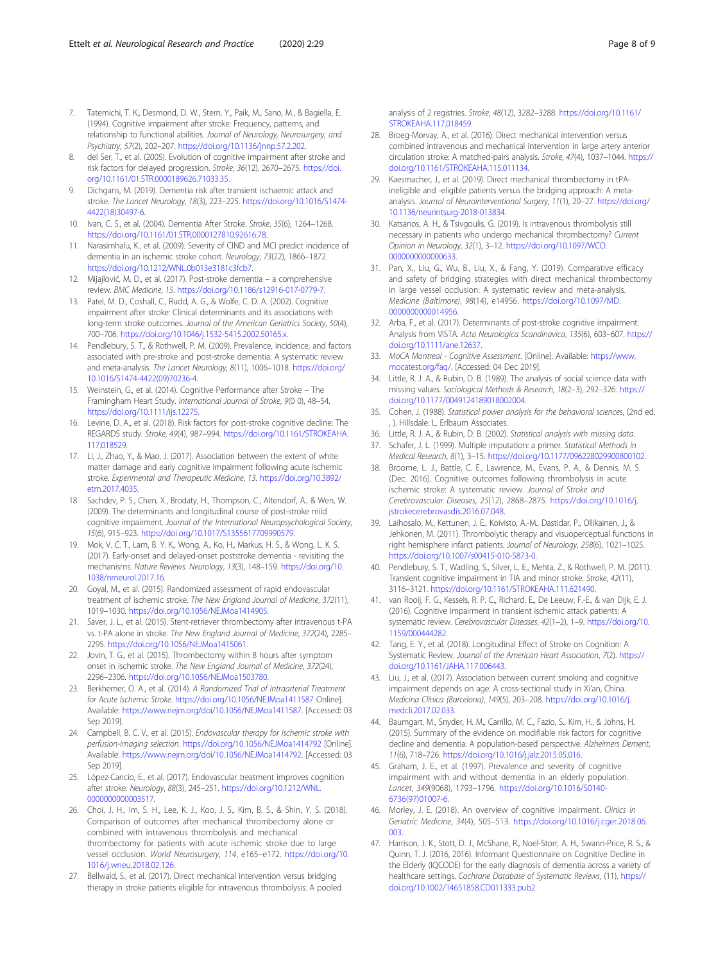- <span id="page-7-0"></span>7. Tatemichi, T. K., Desmond, D. W., Stern, Y., Paik, M., Sano, M., & Bagiella, E. (1994). Cognitive impairment after stroke: Frequency, patterns, and relationship to functional abilities. Journal of Neurology, Neurosurgery, and Psychiatry, 57(2), 202–207. [https://doi.org/10.1136/jnnp.57.2.202.](https://doi.org/10.1136/jnnp.57.2.202)
- 8. del Ser, T., et al. (2005). Evolution of cognitive impairment after stroke and risk factors for delayed progression. Stroke, 36(12), 2670–2675. [https://doi.](https://doi.org/10.1161/01.STR.0000189626.71033.35) [org/10.1161/01.STR.0000189626.71033.35.](https://doi.org/10.1161/01.STR.0000189626.71033.35)
- Dichgans, M. (2019). Dementia risk after transient ischaemic attack and stroke. The Lancet Neurology, 18(3), 223–225. [https://doi.org/10.1016/S1474-](https://doi.org/10.1016/S1474-4422(18)30497-6) [4422\(18\)30497-6](https://doi.org/10.1016/S1474-4422(18)30497-6).
- 10. Ivan, C. S., et al. (2004). Dementia After Stroke. Stroke, 35(6), 1264–1268. [https://doi.org/10.1161/01.STR.0000127810.92616.78.](https://doi.org/10.1161/01.STR.0000127810.92616.78)
- 11. Narasimhalu, K., et al. (2009). Severity of CIND and MCI predict incidence of dementia in an ischemic stroke cohort. Neurology, 73(22), 1866–1872. [https://doi.org/10.1212/WNL.0b013e3181c3fcb7.](https://doi.org/10.1212/WNL.0b013e3181c3fcb7)
- 12. Mijajlović, M. D., et al. (2017). Post-stroke dementia a comprehensive review. BMC Medicine, 15. <https://doi.org/10.1186/s12916-017-0779-7>.
- 13. Patel, M. D., Coshall, C., Rudd, A. G., & Wolfe, C. D. A. (2002). Cognitive impairment after stroke: Clinical determinants and its associations with long-term stroke outcomes. Journal of the American Geriatrics Society, 50(4), 700–706. [https://doi.org/10.1046/j.1532-5415.2002.50165.x.](https://doi.org/10.1046/j.1532-5415.2002.50165.x)
- 14. Pendlebury, S. T., & Rothwell, P. M. (2009). Prevalence, incidence, and factors associated with pre-stroke and post-stroke dementia: A systematic review and meta-analysis. The Lancet Neurology, 8(11), 1006–1018. [https://doi.org/](https://doi.org/10.1016/S1474-4422(09)70236-4) [10.1016/S1474-4422\(09\)70236-4.](https://doi.org/10.1016/S1474-4422(09)70236-4)
- 15. Weinstein, G., et al. (2014). Cognitive Performance after Stroke The Framingham Heart Study. International Journal of Stroke, 9(0 0), 48–54. [https://doi.org/10.1111/ijs.12275.](https://doi.org/10.1111/ijs.12275)
- 16. Levine, D. A., et al. (2018). Risk factors for post-stroke cognitive decline: The REGARDS study. Stroke, 49(4), 987–994. [https://doi.org/10.1161/STROKEAHA.](https://doi.org/10.1161/STROKEAHA.117.018529) [117.018529.](https://doi.org/10.1161/STROKEAHA.117.018529)
- 17. Li, J., Zhao, Y., & Mao, J. (2017). Association between the extent of white matter damage and early cognitive impairment following acute ischemic stroke. Experimental and Therapeutic Medicine, 13. [https://doi.org/10.3892/](https://doi.org/10.3892/etm.2017.4035) [etm.2017.4035.](https://doi.org/10.3892/etm.2017.4035)
- 18. Sachdev, P. S., Chen, X., Brodaty, H., Thompson, C., Altendorf, A., & Wen, W. (2009). The determinants and longitudinal course of post-stroke mild cognitive impairment. Journal of the International Neuropsychological Society, 15(6), 915–923. <https://doi.org/10.1017/S1355617709990579>.
- 19. Mok, V. C. T., Lam, B. Y. K., Wong, A., Ko, H., Markus, H. S., & Wong, L. K. S. (2017). Early-onset and delayed-onset poststroke dementia - revisiting the mechanisms. Nature Reviews. Neurology, 13(3), 148–159. [https://doi.org/10.](https://doi.org/10.1038/nrneurol.2017.16) [1038/nrneurol.2017.16.](https://doi.org/10.1038/nrneurol.2017.16)
- 20. Goyal, M., et al. (2015). Randomized assessment of rapid endovascular treatment of ischemic stroke. The New England Journal of Medicine, 372(11), 1019–1030. [https://doi.org/10.1056/NEJMoa1414905.](https://doi.org/10.1056/NEJMoa1414905)
- 21. Saver, J. L., et al. (2015). Stent-retriever thrombectomy after intravenous t-PA vs. t-PA alone in stroke. The New England Journal of Medicine, 372(24), 2285– 2295. <https://doi.org/10.1056/NEJMoa1415061>.
- 22. Jovin, T. G., et al. (2015). Thrombectomy within 8 hours after symptom onset in ischemic stroke. The New England Journal of Medicine, 372(24), 2296–2306. [https://doi.org/10.1056/NEJMoa1503780.](https://doi.org/10.1056/NEJMoa1503780)
- 23. Berkhemer, O. A., et al. (2014). A Randomized Trial of Intraarterial Treatment for Acute Ischemic Stroke. <https://doi.org/10.1056/NEJMoa1411587> Online]. Available: [https://www.nejm.org/doi/10.1056/NEJMoa1411587.](https://www.nejm.org/doi/10.1056/NEJMoa1411587) [Accessed: 03 Sep 2019].
- 24. Campbell, B. C. V., et al. (2015). Endovascular therapy for ischemic stroke with perfusion-imaging selection. <https://doi.org/10.1056/NEJMoa1414792> [Online]. Available: [https://www.nejm.org/doi/10.1056/NEJMoa1414792.](https://www.nejm.org/doi/10.1056/NEJMoa1414792) [Accessed: 03 Sep 2019].
- 25. López-Cancio, E., et al. (2017). Endovascular treatment improves cognition after stroke. Neurology, 88(3), 245–251. [https://doi.org/10.1212/WNL.](https://doi.org/10.1212/WNL.0000000000003517) 0000[0000000000003517](https://doi.org/10.1212/WNL.0000000000003517)
- 26. Choi, J. H., Im, S. H., Lee, K. J., Koo, J. S., Kim, B. S., & Shin, Y. S. (2018). Comparison of outcomes after mechanical thrombectomy alone or combined with intravenous thrombolysis and mechanical thrombectomy for patients with acute ischemic stroke due to large vessel occlusion. World Neurosurgery, 114, e165–e172. [https://doi.org/10.](https://doi.org/10.1016/j.wneu.2018.02.126) [1016/j.wneu.2018.02.126.](https://doi.org/10.1016/j.wneu.2018.02.126)
- 27. Bellwald, S., et al. (2017). Direct mechanical intervention versus bridging therapy in stroke patients eligible for intravenous thrombolysis: A pooled

analysis of 2 registries. Stroke, 48(12), 3282–3288. [https://doi.org/10.1161/](https://doi.org/10.1161/STROKEAHA.117.018459) [STROKEAHA.117.018459](https://doi.org/10.1161/STROKEAHA.117.018459).

- 28. Broeg-Morvay, A., et al. (2016). Direct mechanical intervention versus combined intravenous and mechanical intervention in large artery anterior circulation stroke: A matched-pairs analysis. Stroke, 47(4), 1037–1044. [https://](https://doi.org/10.1161/STROKEAHA.115.011134) [doi.org/10.1161/STROKEAHA.115.011134.](https://doi.org/10.1161/STROKEAHA.115.011134)
- 29. Kaesmacher, J., et al. (2019). Direct mechanical thrombectomy in tPAineligible and -eligible patients versus the bridging approach: A metaanalysis. Journal of Neurointerventional Surgery, 11(1), 20–27. [https://doi.org/](https://doi.org/10.1136/neurintsurg-2018-013834) [10.1136/neurintsurg-2018-013834.](https://doi.org/10.1136/neurintsurg-2018-013834)
- 30. Katsanos, A. H., & Tsivgoulis, G. (2019). Is intravenous thrombolysis still necessary in patients who undergo mechanical thrombectomy? Current Opinion in Neurology, 32(1), 3–12. [https://doi.org/10.1097/WCO.](https://doi.org/10.1097/WCO.0000000000000633) 000000000000633
- 31. Pan, X., Liu, G., Wu, B., Liu, X., & Fang, Y. (2019). Comparative efficacy and safety of bridging strategies with direct mechanical thrombectomy in large vessel occlusion: A systematic review and meta-analysis. Medicine (Baltimore), 98(14), e14956. [https://doi.org/10.1097/MD.](https://doi.org/10.1097/MD.0000000000014956) [0000000000014956.](https://doi.org/10.1097/MD.0000000000014956)
- 32. Arba, F., et al. (2017). Determinants of post-stroke cognitive impairment: Analysis from VISTA. Acta Neurologica Scandinavica, 135(6), 603–607. [https://](https://doi.org/10.1111/ane.12637) [doi.org/10.1111/ane.12637.](https://doi.org/10.1111/ane.12637)
- 33. MoCA Montreal Cognitive Assessment. [Online]. Available: [https://www.](https://www.mocatest.org/faq/) [mocatest.org/faq/.](https://www.mocatest.org/faq/) [Accessed: 04 Dec 2019].
- 34. Little, R. J. A., & Rubin, D. B. (1989). The analysis of social science data with missing values. Sociological Methods & Research, 18(2–3), 292–326. [https://](https://doi.org/10.1177/0049124189018002004) [doi.org/10.1177/0049124189018002004](https://doi.org/10.1177/0049124189018002004).
- 35. Cohen, J. (1988). Statistical power analysis for the behavioral sciences, (2nd ed. , ). Hillsdale: L. Erlbaum Associates.
- 36. Little, R. J. A., & Rubin, D. B. (2002). Statistical analysis with missing data.
- 37. Schafer, J. L. (1999). Multiple imputation: a primer. Statistical Methods in Medical Research, 8(1), 3–15. [https://doi.org/10.1177/096228029900800102.](https://doi.org/10.1177/096228029900800102)
- 38. Broome, L. J., Battle, C. E., Lawrence, M., Evans, P. A., & Dennis, M. S. (Dec. 2016). Cognitive outcomes following thrombolysis in acute ischemic stroke: A systematic review. Journal of Stroke and Cerebrovascular Diseases, 25(12), 2868–2875. [https://doi.org/10.1016/j.](https://doi.org/10.1016/j.jstrokecerebrovasdis.2016.07.048) [jstrokecerebrovasdis.2016.07.048](https://doi.org/10.1016/j.jstrokecerebrovasdis.2016.07.048).
- 39. Laihosalo, M., Kettunen, J. E., Koivisto, A.-M., Dastidar, P., Ollikainen, J., & Jehkonen, M. (2011). Thrombolytic therapy and visuoperceptual functions in right hemisphere infarct patients. Journal of Neurology, 258(6), 1021–1025. <https://doi.org/10.1007/s00415-010-5873-0>.
- 40. Pendlebury, S. T., Wadling, S., Silver, L. E., Mehta, Z., & Rothwell, P. M. (2011). Transient cognitive impairment in TIA and minor stroke. Stroke, 42(11), 3116–3121. [https://doi.org/10.1161/STROKEAHA.111.621490.](https://doi.org/10.1161/STROKEAHA.111.621490)
- 41. van Rooij, F. G., Kessels, R. P. C., Richard, E., De Leeuw, F.-E., & van Dijk, E. J. (2016). Cognitive impairment in transient ischemic attack patients: A systematic review. Cerebrovascular Diseases, 42(1-2), 1-9. [https://doi.org/10.](https://doi.org/10.1159/000444282) [1159/000444282.](https://doi.org/10.1159/000444282)
- 42. Tang, E. Y., et al. (2018). Longitudinal Effect of Stroke on Cognition: A Systematic Review. Journal of the American Heart Association, 7(2). [https://](https://doi.org/10.1161/JAHA.117.006443) [doi.org/10.1161/JAHA.117.006443.](https://doi.org/10.1161/JAHA.117.006443)
- 43. Liu, J., et al. (2017). Association between current smoking and cognitive impairment depends on age: A cross-sectional study in Xi'an, China. Medicina Clínica (Barcelona), 149(5), 203–208. [https://doi.org/10.1016/j.](https://doi.org/10.1016/j.medcli.2017.02.033) [medcli.2017.02.033](https://doi.org/10.1016/j.medcli.2017.02.033).
- 44. Baumgart, M., Snyder, H. M., Carrillo, M. C., Fazio, S., Kim, H., & Johns, H. (2015). Summary of the evidence on modifiable risk factors for cognitive decline and dementia: A population-based perspective. Alzheimers Dement, 11(6), 718–726. <https://doi.org/10.1016/j.jalz.2015.05.016>.
- 45. Graham, J. E., et al. (1997). Prevalence and severity of cognitive impairment with and without dementia in an elderly population. Lancet, 349(9068), 1793–1796. [https://doi.org/10.1016/S0140-](https://doi.org/10.1016/S0140-6736(97)01007-6) [6736\(97\)01007-6.](https://doi.org/10.1016/S0140-6736(97)01007-6)
- 46. Morley, J. E. (2018). An overview of cognitive impairment. Clinics in Geriatric Medicine, 34(4), 505–513. [https://doi.org/10.1016/j.cger.2018.06.](https://doi.org/10.1016/j.cger.2018.06.003) [003](https://doi.org/10.1016/j.cger.2018.06.003).
- 47. Harrison, J. K., Stott, D. J., McShane, R., Noel-Storr, A. H., Swann-Price, R. S., & Quinn, T. J. (2016, 2016). Informant Questionnaire on Cognitive Decline in the Elderly (IQCODE) for the early diagnosis of dementia across a variety of healthcare settings. Cochrane Database of Systematic Reviews, (11). [https://](https://doi.org/10.1002/14651858.CD011333.pub2) [doi.org/10.1002/14651858.CD011333.pub2.](https://doi.org/10.1002/14651858.CD011333.pub2)